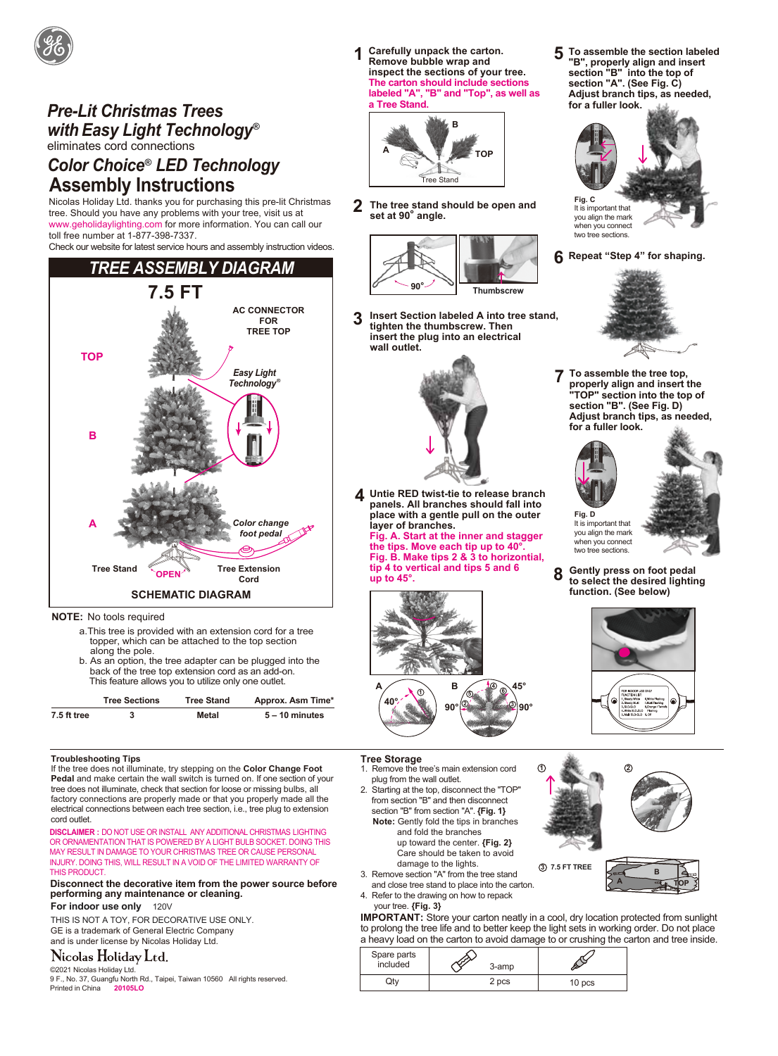

# *Pre-Lit Christmas Trees with Easy Light Technology®* eliminates cord connections

## *Color Choice® LED Technology* **Assembly Instructions**

Nicolas Holiday Ltd. thanks you for purchasing this pre-lit Christmas tree. Should you have any problems with your tree, visit us at www.geholidaylighting.com for more information. You can call our toll free number at 1-877-398-7337.

Check our website for latest service hours and assembly instruction videos.



**NOTE:** No tools required

- a.This tree is provided with an extension cord for a tree topper, which can be attached to the top section along the pole.
- b. As an option, the tree adapter can be plugged into the back of the tree top extension cord as an add-on. This feature allows you to utilize only one outlet.



**1 Carefully unpack the carton. Remove bubble wrap and inspect the sections of your tree. The carton should include sections labeled "A", "B" and "Top", as well as a Tree Stand.**



**2 The tree stand should be open and set at 90° angle.**



**3 Insert Section labeled A into tree stand, tighten the thumbscrew. Then insert the plug into an electrical wall outlet.** 



**4 Untie RED twist-tie to release branch panels. All branches should fall into place with a gentle pull on the outer layer of branches. Fig. A. Start at the inner and stagger the tips. Move each tip up to 40°. Fig. B. Make tips 2 & 3 to horizontial, tip 4 to vertical and tips 5 and 6 up to 45°.** 



**section "A". (See Fig. C) Adjust branch tips, as needed, for a fuller look.**

**To assemble the section labeled "B", properly align and insert section "B" into the top of** 

**5**



**6 Repeat "Step 4" for shaping.**

two tree sections.



**To assemble the tree top, properly align and insert the "TOP" section into the top of section "B". (See Fig. D) Adjust branch tips, as needed, for a fuller look. 7**





It is important that you align the mark when you connect two tree sections. **Fig. D**

**8 Gently press on foot pedal to select the desired lighting function. (See below)**



**Troubleshooting Tips**

If the tree does not illuminate, try stepping on the **Color Change Foot Pedal** and make certain the wall switch is turned on. If one section of your tree does not illuminate, check that section for loose or missing bulbs, all factory connections are properly made or that you properly made all the electrical connections between each tree section, i.e., tree plug to extension cord outlet.

**DISCLAIMER :** DO NOT USE OR INSTALL ANY ADDITIONAL CHRISTMAS LIGHTING OR ORNAMENTATION THAT IS POWERED BY A LIGHT BULB SOCKET. DOING THIS MAY RESULT IN DAMAGE TO YOUR CHRISTMAS TREE OR CAUSE PERSONAL INJURY. DOING THIS, WILL RESULT IN A VOID OF THE LIMITED WARRANTY OF **THIS PRODUCT** 

#### **Disconnect the decorative item from the power source before performing any maintenance or cleaning. For indoor use only** 120V

THIS IS NOT A TOY, FOR DECORATIVE USE ONLY. GE is a trademark of General Electric Company and is under license by Nicolas Holiday Ltd.

### Nicolas Holiday Ltd.

©2021 Nicolas Holiday Ltd.

9 F., No. 37, Guangfu North Rd., Taipei, Taiwan 10560 All rights reserved. Printed in China **20105LO** 10 pcs

#### **Tree Storage** 1. Remove the tree's main extension cord

- plug from the wall outlet.
- 2. Starting at the top, disconnect the "TOP" from section "B" and then disconnect section "B" from section "A". **{Fig. 1} Note:** Gently fold the tips in branches
- and fold the branches up toward the center. **{Fig. 2}** Care should be taken to avoid damage to the lights.
- 3. Remove section "A" from the tree stand
- and close tree stand to place into the carton.
- 4. Refer to the drawing on how to repack
- your tree. **{Fig. 3}**

**IMPORTANT:** Store your carton neatly in a cool, dry location protected from sunlight to prolong the tree life and to better keep the light sets in working order. Do not place a heavy load on the carton to avoid damage to or crushing the carton and tree inside.

**1**

| Spare parts<br>included | 3-amp |        |
|-------------------------|-------|--------|
|                         | 2 pcs | 10 pcs |